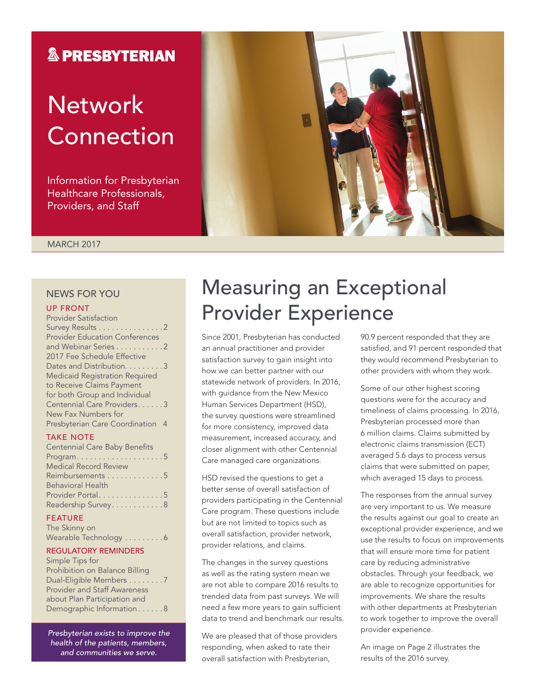### **& PRESBYTERIAN**

# **Network** Connection

Information for Presbyterian Healthcare Professionals, Providers, and Staff

MARCH 2017

### NEWS FOR YOU

### UP FRONT

| <b>Provider Satisfaction</b>          |
|---------------------------------------|
| Survey Results 2                      |
| <b>Provider Education Conferences</b> |
| and Webinar Series 2                  |
| 2017 Fee Schedule Effective           |
| Dates and Distribution. 3             |
| <b>Medicaid Registration Required</b> |
| to Receive Claims Payment             |
| for both Group and Individual         |
| Centennial Care Providers3            |
| New Fax Numbers for                   |
| Presbyterian Care Coordination 4      |
|                                       |

#### TAKE NOTE

| <b>Centennial Care Baby Benefits</b>            |
|-------------------------------------------------|
| $Program. \ldots \ldots \ldots \ldots \ldots 5$ |
| <b>Medical Record Review</b>                    |
| Reimbursements 5                                |
| <b>Behavioral Health</b>                        |
| Provider Portal5                                |
| Readership Survey8                              |
|                                                 |

### FEATURE

| The Skinny on         |  |  |  |  |  |
|-----------------------|--|--|--|--|--|
| Wearable Technology 6 |  |  |  |  |  |

#### REGULATORY REMINDERS

Simple Tips for Prohibition on Balance Billing Dual-Eligible Members . . . . . . . . 7 Provider and Staff Awareness about Plan Participation and Demographic Information . . . . . . 8

*Presbyterian exists to improve the health of the patients, members, and communities we serve.*

# Measuring an Exceptional Provider Experience

Since 2001, Presbyterian has conducted an annual practitioner and provider satisfaction survey to gain insight into how we can better partner with our statewide network of providers. In 2016, with guidance from the New Mexico Human Services Department (HSD), the survey questions were streamlined for more consistency, improved data measurement, increased accuracy, and closer alignment with other Centennial Care managed care organizations.

HSD revised the questions to get a better sense of overall satisfaction of providers participating in the Centennial Care program. These questions include but are not limited to topics such as overall satisfaction, provider network, provider relations, and claims.

The changes in the survey questions as well as the rating system mean we are not able to compare 2016 results to trended data from past surveys. We will need a few more years to gain sufficient data to trend and benchmark our results.

We are pleased that of those providers responding, when asked to rate their overall satisfaction with Presbyterian,

90.9 percent responded that they are satisfied, and 91 percent responded that they would recommend Presbyterian to other providers with whom they work.

Some of our other highest scoring questions were for the accuracy and timeliness of claims processing. In 2016, Presbyterian processed more than 6 million claims. Claims submitted by electronic claims transmission (ECT) averaged 5.6 days to process versus claims that were submitted on paper, which averaged 15 days to process.

The responses from the annual survey are very important to us. We measure the results against our goal to create an exceptional provider experience, and we use the results to focus on improvements that will ensure more time for patient care by reducing administrative obstacles. Through your feedback, we are able to recognize opportunities for improvements. We share the results with other departments at Presbyterian to work together to improve the overall provider experience.

An image on Page 2 illustrates the results of the 2016 survey.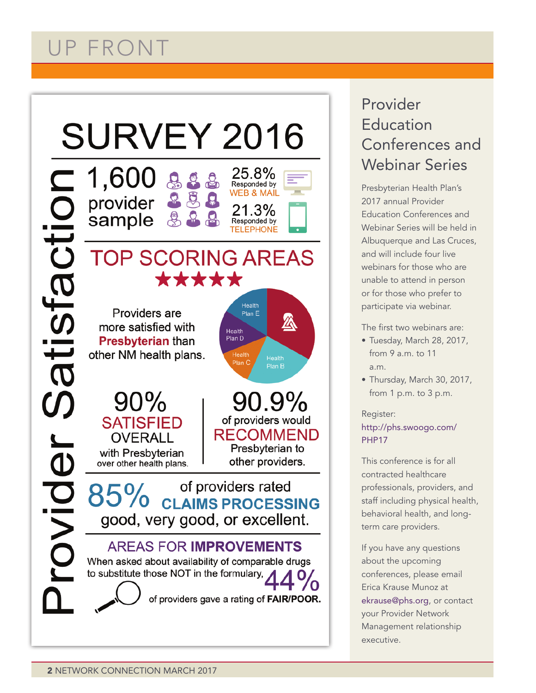# UP FRONT



### Provider Education Conferences and Webinar Series

Presbyterian Health Plan's 2017 annual Provider Education Conferences and Webinar Series will be held in Albuquerque and Las Cruces, and will include four live webinars for those who are unable to attend in person or for those who prefer to participate via webinar.

The first two webinars are:

- Tuesday, March 28, 2017, from  $9a$  m to 11 a.m.
- Thursday, March 30, 2017, from 1 p.m. to 3 p.m.

### Register: http://phs.swoogo.com/ PHP17

This conference is for all contracted healthcare professionals, providers, and staff including physical health, behavioral health, and longterm care providers.

If you have any questions about the upcoming conferences, please email Erica Krause Munoz at ekrause@phs.org, or contact your Provider Network Management relationship executive.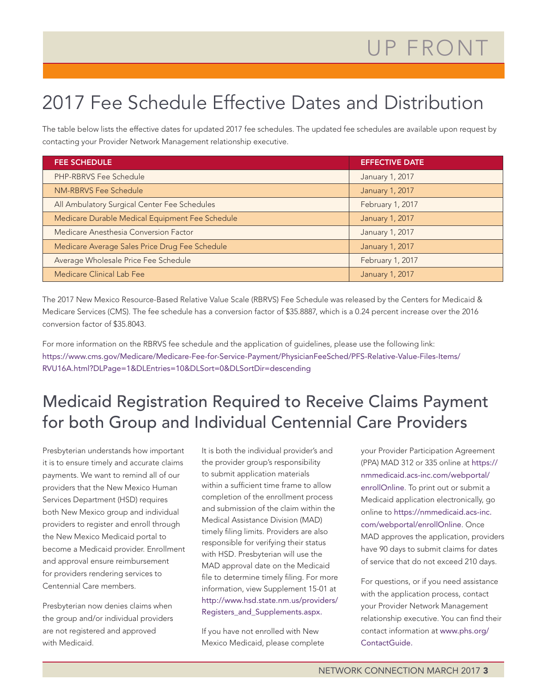# 2017 Fee Schedule Effective Dates and Distribution

The table below lists the effective dates for updated 2017 fee schedules. The updated fee schedules are available upon request by contacting your Provider Network Management relationship executive.

| <b>FEE SCHEDULE</b>                             | <b>EFFECTIVE DATE</b> |
|-------------------------------------------------|-----------------------|
| PHP-RBRVS Fee Schedule                          | January 1, 2017       |
| NM-RBRVS Fee Schedule                           | January 1, 2017       |
| All Ambulatory Surgical Center Fee Schedules    | February 1, 2017      |
| Medicare Durable Medical Equipment Fee Schedule | January 1, 2017       |
| Medicare Anesthesia Conversion Factor           | January 1, 2017       |
| Medicare Average Sales Price Drug Fee Schedule  | January 1, 2017       |
| Average Wholesale Price Fee Schedule            | February 1, 2017      |
| Medicare Clinical Lab Fee                       | January 1, 2017       |

The 2017 New Mexico Resource-Based Relative Value Scale (RBRVS) Fee Schedule was released by the Centers for Medicaid & Medicare Services (CMS). The fee schedule has a conversion factor of \$35.8887, which is a 0.24 percent increase over the 2016 conversion factor of \$35.8043.

For more information on the RBRVS fee schedule and the application of guidelines, please use the following link: https://www.cms.gov/Medicare/Medicare-Fee-for-Service-Payment/PhysicianFeeSched/PFS-Relative-Value-Files-Items/ RVU16A.html?DLPage=1&DLEntries=10&DLSort=0&DLSortDir=descending

### Medicaid Registration Required to Receive Claims Payment for both Group and Individual Centennial Care Providers

Presbyterian understands how important it is to ensure timely and accurate claims payments. We want to remind all of our providers that the New Mexico Human Services Department (HSD) requires both New Mexico group and individual providers to register and enroll through the New Mexico Medicaid portal to become a Medicaid provider. Enrollment and approval ensure reimbursement for providers rendering services to Centennial Care members.

Presbyterian now denies claims when the group and/or individual providers are not registered and approved with Medicaid.

It is both the individual provider's and the provider group's responsibility to submit application materials within a sufficient time frame to allow completion of the enrollment process and submission of the claim within the Medical Assistance Division (MAD) timely filing limits. Providers are also responsible for verifying their status with HSD. Presbyterian will use the MAD approval date on the Medicaid file to determine timely filing. For more information, view Supplement 15-01 at http://www.hsd.state.nm.us/providers/ Registers\_and\_Supplements.aspx.

If you have not enrolled with New Mexico Medicaid, please complete your Provider Participation Agreement (PPA) MAD 312 or 335 online at https:// nmmedicaid.acs-inc.com/webportal/ enrollOnline. To print out or submit a Medicaid application electronically, go online to https://nmmedicaid.acs-inc. com/webportal/enrollOnline. Once MAD approves the application, providers have 90 days to submit claims for dates of service that do not exceed 210 days.

For questions, or if you need assistance with the application process, contact your Provider Network Management relationship executive. You can find their contact information at www.phs.org/ ContactGuide.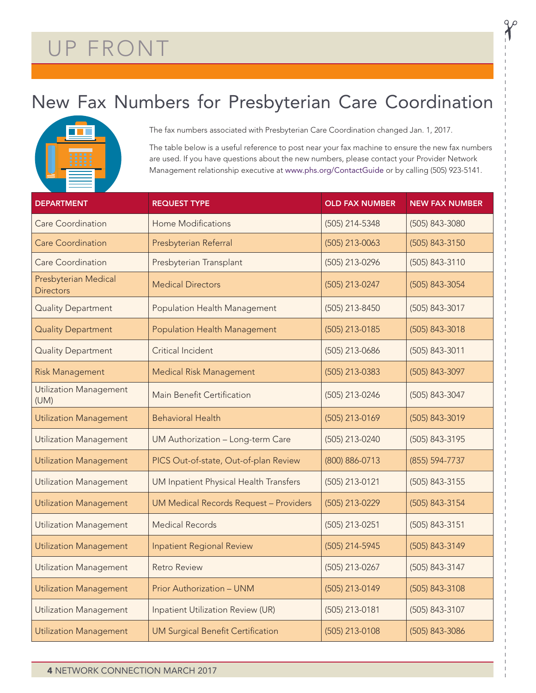# UP FRONT

## New Fax Numbers for Presbyterian Care Coordination



The fax numbers associated with Presbyterian Care Coordination changed Jan. 1, 2017.

The table below is a useful reference to post near your fax machine to ensure the new fax numbers are used. If you have questions about the new numbers, please contact your Provider Network Management relationship executive at www.phs.org/ContactGuide or by calling (505) 923-5141.

| <b>DEPARTMENT</b>                        | <b>REQUEST TYPE</b>                           | <b>OLD FAX NUMBER</b> | <b>NEW FAX NUMBER</b> |  |  |
|------------------------------------------|-----------------------------------------------|-----------------------|-----------------------|--|--|
| <b>Care Coordination</b>                 | <b>Home Modifications</b>                     | (505) 214-5348        | (505) 843-3080        |  |  |
| <b>Care Coordination</b>                 | Presbyterian Referral                         | (505) 213-0063        | (505) 843-3150        |  |  |
| <b>Care Coordination</b>                 | Presbyterian Transplant                       | (505) 213-0296        | (505) 843-3110        |  |  |
| Presbyterian Medical<br><b>Directors</b> | <b>Medical Directors</b>                      | (505) 213-0247        | (505) 843-3054        |  |  |
| <b>Quality Department</b>                | <b>Population Health Management</b>           | (505) 213-8450        | (505) 843-3017        |  |  |
| <b>Quality Department</b>                | <b>Population Health Management</b>           | (505) 213-0185        | (505) 843-3018        |  |  |
| <b>Quality Department</b>                | Critical Incident                             | (505) 213-0686        | (505) 843-3011        |  |  |
| <b>Risk Management</b>                   | <b>Medical Risk Management</b>                | (505) 213-0383        | (505) 843-3097        |  |  |
| <b>Utilization Management</b><br>(UM)    | Main Benefit Certification                    | (505) 213-0246        | (505) 843-3047        |  |  |
| <b>Utilization Management</b>            | <b>Behavioral Health</b>                      | (505) 213-0169        | (505) 843-3019        |  |  |
| Utilization Management                   | UM Authorization - Long-term Care             | (505) 213-0240        | (505) 843-3195        |  |  |
| <b>Utilization Management</b>            | PICS Out-of-state, Out-of-plan Review         | (800) 886-0713        | (855) 594-7737        |  |  |
| <b>Utilization Management</b>            | UM Inpatient Physical Health Transfers        | (505) 213-0121        | (505) 843-3155        |  |  |
| <b>Utilization Management</b>            | <b>UM Medical Records Request - Providers</b> | (505) 213-0229        | (505) 843-3154        |  |  |
| <b>Utilization Management</b>            | <b>Medical Records</b>                        | (505) 213-0251        | (505) 843-3151        |  |  |
| <b>Utilization Management</b>            | <b>Inpatient Regional Review</b>              | (505) 214-5945        | (505) 843-3149        |  |  |
| <b>Utilization Management</b>            | <b>Retro Review</b>                           | (505) 213-0267        | (505) 843-3147        |  |  |
| <b>Utilization Management</b>            | Prior Authorization - UNM                     | (505) 213-0149        | (505) 843-3108        |  |  |
| <b>Utilization Management</b>            | Inpatient Utilization Review (UR)             |                       | (505) 843-3107        |  |  |
| <b>Utilization Management</b>            | <b>UM Surgical Benefit Certification</b>      | (505) 213-0108        | (505) 843-3086        |  |  |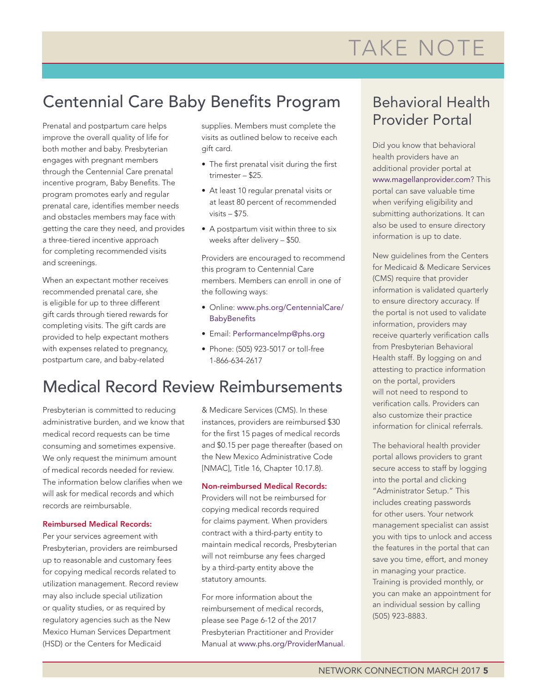# TAKE NOTE

### Centennial Care Baby Benefits Program

Prenatal and postpartum care helps improve the overall quality of life for both mother and baby. Presbyterian engages with pregnant members through the Centennial Care prenatal incentive program, Baby Benefits. The program promotes early and regular prenatal care, identifies member needs and obstacles members may face with getting the care they need, and provides a three-tiered incentive approach for completing recommended visits and screenings.

When an expectant mother receives recommended prenatal care, she is eligible for up to three different gift cards through tiered rewards for completing visits. The gift cards are provided to help expectant mothers with expenses related to pregnancy, postpartum care, and baby-related

supplies. Members must complete the visits as outlined below to receive each gift card.

- The first prenatal visit during the first trimester – \$25.
- At least 10 regular prenatal visits or at least 80 percent of recommended visits – \$75.
- A postpartum visit within three to six weeks after delivery – \$50.

Providers are encouraged to recommend this program to Centennial Care members. Members can enroll in one of the following ways:

- Online: www.phs.org/CentennialCare/ **BabyBenefits**
- Email: PerformanceImp@phs.org
- Phone: (505) 923-5017 or toll-free 1-866-634-2617

### Medical Record Review Reimbursements

Presbyterian is committed to reducing administrative burden, and we know that medical record requests can be time consuming and sometimes expensive. We only request the minimum amount of medical records needed for review. The information below clarifies when we will ask for medical records and which records are reimbursable.

#### Reimbursed Medical Records:

Per your services agreement with Presbyterian, providers are reimbursed up to reasonable and customary fees for copying medical records related to utilization management. Record review may also include special utilization or quality studies, or as required by regulatory agencies such as the New Mexico Human Services Department (HSD) or the Centers for Medicaid

& Medicare Services (CMS). In these instances, providers are reimbursed \$30 for the first 15 pages of medical records and \$0.15 per page thereafter (based on the New Mexico Administrative Code [NMAC], Title 16, Chapter 10.17.8).

### Non-reimbursed Medical Records:

Providers will not be reimbursed for copying medical records required for claims payment. When providers contract with a third-party entity to maintain medical records, Presbyterian will not reimburse any fees charged by a third-party entity above the statutory amounts.

For more information about the reimbursement of medical records, please see Page 6-12 of the 2017 Presbyterian Practitioner and Provider Manual at www.phs.org/ProviderManual.

### Behavioral Health Provider Portal

Did you know that behavioral health providers have an additional provider portal at www.magellanprovider.com? This portal can save valuable time when verifying eligibility and submitting authorizations. It can also be used to ensure directory information is up to date.

New guidelines from the Centers for Medicaid & Medicare Services (CMS) require that provider information is validated quarterly to ensure directory accuracy. If the portal is not used to validate information, providers may receive quarterly verification calls from Presbyterian Behavioral Health staff. By logging on and attesting to practice information on the portal, providers will not need to respond to verification calls. Providers can also customize their practice information for clinical referrals.

The behavioral health provider portal allows providers to grant secure access to staff by logging into the portal and clicking "Administrator Setup." This includes creating passwords for other users. Your network management specialist can assist you with tips to unlock and access the features in the portal that can save you time, effort, and money in managing your practice. Training is provided monthly, or you can make an appointment for an individual session by calling (505) 923-8883.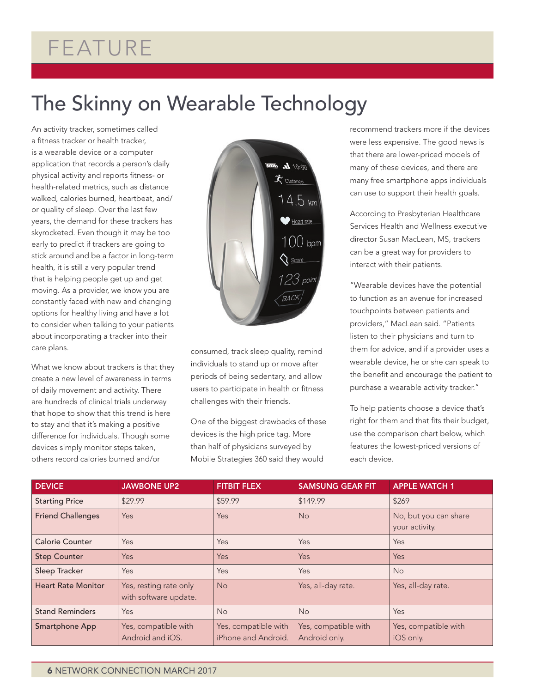# FEATURE

# The Skinny on Wearable Technology

An activity tracker, sometimes called a fitness tracker or health tracker, is a wearable device or a computer application that records a person's daily physical activity and reports fitness- or health-related metrics, such as distance walked, calories burned, heartbeat, and/ or quality of sleep. Over the last few years, the demand for these trackers has skyrocketed. Even though it may be too early to predict if trackers are going to stick around and be a factor in long-term health, it is still a very popular trend that is helping people get up and get moving. As a provider, we know you are constantly faced with new and changing options for healthy living and have a lot to consider when talking to your patients about incorporating a tracker into their care plans.

What we know about trackers is that they create a new level of awareness in terms of daily movement and activity. There are hundreds of clinical trials underway that hope to show that this trend is here to stay and that it's making a positive difference for individuals. Though some devices simply monitor steps taken, others record calories burned and/or



consumed, track sleep quality, remind individuals to stand up or move after periods of being sedentary, and allow users to participate in health or fitness challenges with their friends.

One of the biggest drawbacks of these devices is the high price tag. More than half of physicians surveyed by Mobile Strategies 360 said they would

recommend trackers more if the devices were less expensive. The good news is that there are lower-priced models of many of these devices, and there are many free smartphone apps individuals can use to support their health goals.

According to Presbyterian Healthcare Services Health and Wellness executive director Susan MacLean, MS, trackers can be a great way for providers to interact with their patients.

"Wearable devices have the potential to function as an avenue for increased touchpoints between patients and providers," MacLean said. "Patients listen to their physicians and turn to them for advice, and if a provider uses a wearable device, he or she can speak to the benefit and encourage the patient to purchase a wearable activity tracker."

To help patients choose a device that's right for them and that fits their budget, use the comparison chart below, which features the lowest-priced versions of each device.

| <b>DEVICE</b>             | <b>JAWBONE UP2</b>                              | <b>FITBIT FLEX</b>                          | <b>SAMSUNG GEAR FIT</b>               | <b>APPLE WATCH 1</b>                    |
|---------------------------|-------------------------------------------------|---------------------------------------------|---------------------------------------|-----------------------------------------|
| <b>Starting Price</b>     | \$29.99                                         | \$59.99                                     | \$149.99                              | \$269                                   |
| <b>Friend Challenges</b>  | Yes                                             | Yes                                         | <b>No</b>                             | No, but you can share<br>your activity. |
| <b>Calorie Counter</b>    | <b>Yes</b>                                      | Yes                                         | Yes                                   | <b>Yes</b>                              |
| <b>Step Counter</b>       | Yes                                             | Yes                                         | Yes                                   | Yes                                     |
| Sleep Tracker             | Yes                                             | Yes                                         | Yes                                   | N <sub>o</sub>                          |
| <b>Heart Rate Monitor</b> | Yes, resting rate only<br>with software update. | <b>No</b>                                   | Yes, all-day rate.                    | Yes, all-day rate.                      |
| <b>Stand Reminders</b>    | Yes                                             | <b>No</b>                                   | <b>No</b>                             | Yes                                     |
| Smartphone App            | Yes, compatible with<br>Android and iOS.        | Yes, compatible with<br>iPhone and Android. | Yes, compatible with<br>Android only. | Yes, compatible with<br>iOS only.       |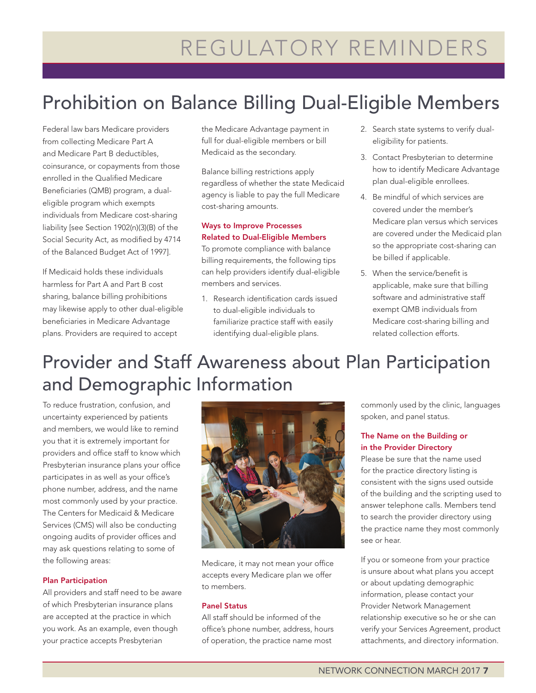## Prohibition on Balance Billing Dual-Eligible Members

Federal law bars Medicare providers from collecting Medicare Part A and Medicare Part B deductibles, coinsurance, or copayments from those enrolled in the Qualified Medicare Beneficiaries (QMB) program, a dualeligible program which exempts individuals from Medicare cost-sharing liability [see Section 1902(n)(3)(B) of the Social Security Act, as modified by 4714 of the Balanced Budget Act of 1997].

If Medicaid holds these individuals harmless for Part A and Part B cost sharing, balance billing prohibitions may likewise apply to other dual-eligible beneficiaries in Medicare Advantage plans. Providers are required to accept

the Medicare Advantage payment in full for dual-eligible members or bill Medicaid as the secondary.

Balance billing restrictions apply regardless of whether the state Medicaid agency is liable to pay the full Medicare cost-sharing amounts.

### Ways to Improve Processes Related to Dual-Eligible Members

To promote compliance with balance billing requirements, the following tips can help providers identify dual-eligible members and services.

1. Research identification cards issued to dual-eligible individuals to familiarize practice staff with easily identifying dual-eligible plans.

- 2. Search state systems to verify dualeligibility for patients.
- 3. Contact Presbyterian to determine how to identify Medicare Advantage plan dual-eligible enrollees.
- 4. Be mindful of which services are covered under the member's Medicare plan versus which services are covered under the Medicaid plan so the appropriate cost-sharing can be billed if applicable.
- 5. When the service/benefit is applicable, make sure that billing software and administrative staff exempt QMB individuals from Medicare cost-sharing billing and related collection efforts.

## Provider and Staff Awareness about Plan Participation and Demographic Information

To reduce frustration, confusion, and uncertainty experienced by patients and members, we would like to remind you that it is extremely important for providers and office staff to know which Presbyterian insurance plans your office participates in as well as your office's phone number, address, and the name most commonly used by your practice. The Centers for Medicaid & Medicare Services (CMS) will also be conducting ongoing audits of provider offices and may ask questions relating to some of the following areas:

#### Plan Participation

All providers and staff need to be aware of which Presbyterian insurance plans are accepted at the practice in which you work. As an example, even though your practice accepts Presbyterian



Medicare, it may not mean your office accepts every Medicare plan we offer to members.

#### Panel Status

All staff should be informed of the office's phone number, address, hours of operation, the practice name most

commonly used by the clinic, languages spoken, and panel status.

### The Name on the Building or in the Provider Directory

Please be sure that the name used for the practice directory listing is consistent with the signs used outside of the building and the scripting used to answer telephone calls. Members tend to search the provider directory using the practice name they most commonly see or hear.

If you or someone from your practice is unsure about what plans you accept or about updating demographic information, please contact your Provider Network Management relationship executive so he or she can verify your Services Agreement, product attachments, and directory information.